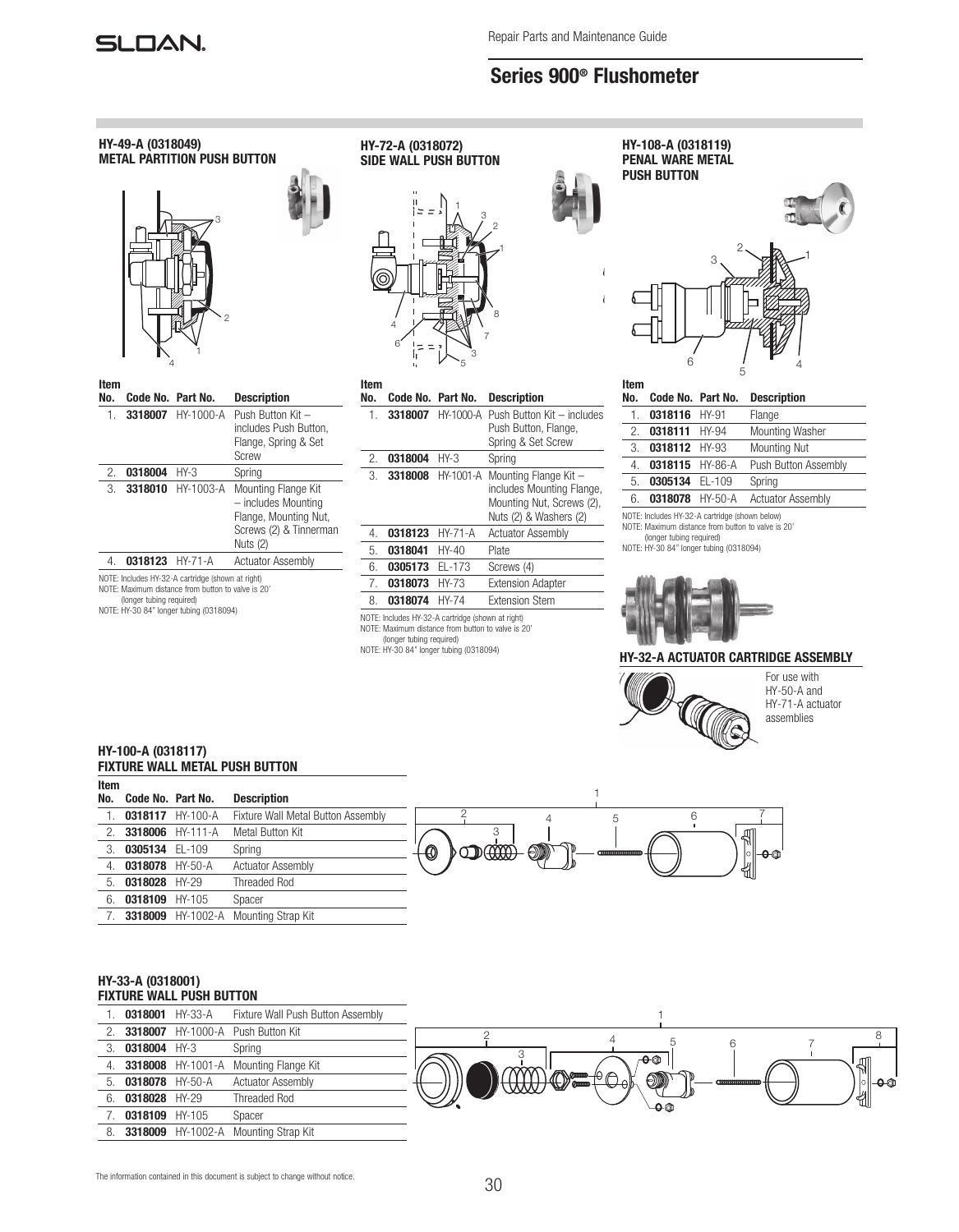

# Series 900® Flushometer



### HY-32-A ACTUATOR CARTRIDGE ASSEMBLY



For use with HY-50-A and HY-71-A actuator assemblies

1

| HY-100-A (0318117)                    |  |  |
|---------------------------------------|--|--|
| <b>FIXTURE WALL METAL PUSH BUTTON</b> |  |  |

3318009 HY-1002-A Mounting Strap Kit

| Item |                     |                  |                                    |                                           |
|------|---------------------|------------------|------------------------------------|-------------------------------------------|
| No.  | Code No. Part No.   |                  | <b>Description</b>                 |                                           |
|      |                     | 0318117 HY-100-A | Fixture Wall Metal Button Assembly |                                           |
|      | 2. 3318006 HY-111-A |                  | Metal Button Kit                   | ╣                                         |
|      | 3. 0305134 EL-109   |                  | Spring                             | <b>DOCCOOG</b><br>$\bigcirc$<br>$\bullet$ |
|      | 0318078 HY-50-A     |                  | <b>Actuator Assembly</b>           | ╣                                         |
|      | 5. 0318028 HY-29    |                  | <b>Threaded Rod</b>                |                                           |
| 6.   | 0318109 HY-105      |                  | Spacer                             |                                           |

## HY-33-A (0318001) FIXTURE WALL PUSH BUTTON

| FIXIUKE WALL PUSH BUTIUN |                    |                      |                                             |                                           |
|--------------------------|--------------------|----------------------|---------------------------------------------|-------------------------------------------|
|                          | 0318001 HY-33-A    |                      | Fixture Wall Push Button Assembly           |                                           |
|                          |                    |                      | <b>3318007</b> HY-1000-A Push Button Kit    |                                           |
| 3.                       | 0318004 HY-3       |                      | Spring                                      |                                           |
|                          |                    | 4. 3318008 HY-1001-A | Mounting Flange Kit                         | ∂⊢n<br>╣                                  |
|                          | 5. 0318078 HY-50-A |                      | <b>Actuator Assembly</b>                    | $\circledcirc$<br>$\circledcirc$<br> ി⊢⊖@ |
| 6.                       | 0318028 HY-29      |                      | <b>Threaded Rod</b>                         | ៕<br>-0 @                                 |
|                          | 0318109 HY-105     |                      | Spacer                                      |                                           |
| 8.                       |                    |                      | <b>3318009</b> HY-1002-A Mounting Strap Kit |                                           |